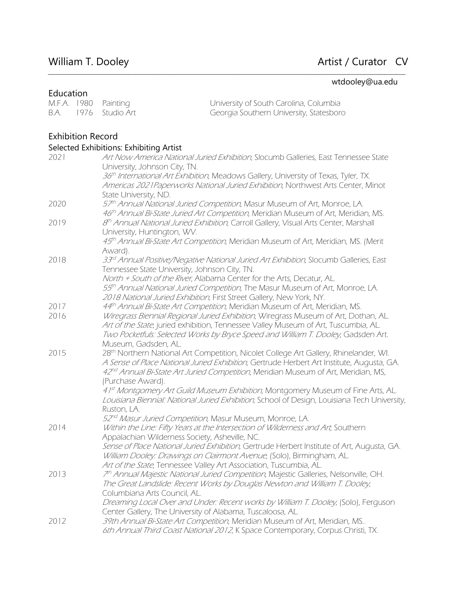# William T. Dooley **Artist / Curator CV**

## wtdooley@ua.edu

| Education                |      |                                                |                                                                                                                                                          |
|--------------------------|------|------------------------------------------------|----------------------------------------------------------------------------------------------------------------------------------------------------------|
| M.F.A. 1980              |      | Painting                                       | University of South Carolina, Columbia                                                                                                                   |
| B.A.                     | 1976 | Studio Art                                     | Georgia Southern University, Statesboro                                                                                                                  |
|                          |      |                                                |                                                                                                                                                          |
| <b>Exhibition Record</b> |      |                                                |                                                                                                                                                          |
|                          |      |                                                |                                                                                                                                                          |
|                          |      | Selected Exhibitions: Exhibiting Artist        |                                                                                                                                                          |
| 2021                     |      |                                                | Art Now America National Juried Exhibition, Slocumb Galleries, East Tennessee State                                                                      |
|                          |      | University, Johnson City, TN.                  |                                                                                                                                                          |
|                          |      |                                                | 36th International Art Exhibition, Meadows Gallery, University of Texas, Tyler, TX.                                                                      |
|                          |      | State University, ND.                          | Americas 2021 Paperworks National Juried Exhibition, Northwest Arts Center, Minot                                                                        |
| 2020                     |      |                                                | 57th Annual National Juried Competition, Masur Museum of Art, Monroe, LA.                                                                                |
|                          |      |                                                | 46th Annual Bi-State Juried Art Competition, Meridian Museum of Art, Meridian, MS.                                                                       |
| 2019                     |      |                                                | 8 <sup>th</sup> Annual National Juried Exhibition, Carroll Gallery, Visual Arts Center, Marshall                                                         |
|                          |      | University, Huntington, WV.                    |                                                                                                                                                          |
|                          |      |                                                | 45 <sup>th</sup> Annual Bi-State Art Competition, Meridian Museum of Art, Meridian, MS. (Merit                                                           |
|                          |      | Award).                                        |                                                                                                                                                          |
| 2018                     |      |                                                | 33 <sup>rd</sup> Annual Positive/Negative National Juried Art Exhibition, Slocumb Galleries, East                                                        |
|                          |      | Tennessee State University, Johnson City, TN.  |                                                                                                                                                          |
|                          |      |                                                | North + South of the River, Alabama Center for the Arts, Decatur, AL.                                                                                    |
|                          |      |                                                | 55th Annual National Juried Competition, The Masur Museum of Art, Monroe, LA.                                                                            |
|                          |      |                                                | 2018 National Juried Exhibition, First Street Gallery, New York, NY.                                                                                     |
| 2017                     |      |                                                | 44th Annual Bi-State Art Competition, Meridian Museum of Art, Meridian, MS.                                                                              |
| 2016                     |      |                                                | Wiregrass Biennial Regional Juried Exhibition, Wiregrass Museum of Art, Dothan, AL.                                                                      |
|                          |      |                                                | Art of the State, juried exhibition, Tennessee Valley Museum of Art, Tuscumbia, AL.                                                                      |
|                          |      |                                                | Two Pocketfuls: Selected Works by Bryce Speed and William T. Dooley, Gadsden Art.                                                                        |
|                          |      | Museum, Gadsden, AL.                           |                                                                                                                                                          |
| 2015                     |      |                                                | 28th Northern National Art Competition, Nicolet College Art Gallery, Rhinelander, WI.                                                                    |
|                          |      |                                                | A Sense of Place National Juried Exhibition, Gertrude Herbert Art Institute, Augusta, GA.                                                                |
|                          |      |                                                | 42 <sup>nd</sup> Annual Bi-State Art Juried Competition, Meridian Museum of Art, Meridian, MS,                                                           |
|                          |      | (Purchase Award).                              |                                                                                                                                                          |
|                          |      |                                                | 41st Montgomery Art Guild Museum Exhibition, Montgomery Museum of Fine Arts, AL.                                                                         |
|                          |      |                                                | Louisiana Biennial: National Juried Exhibition, School of Design, Louisiana Tech University,                                                             |
|                          |      | Ruston, LA.                                    |                                                                                                                                                          |
| 2014                     |      |                                                | 52 <sup>nd</sup> Masur Juried Competition, Masur Museum, Monroe, LA.<br>Within the Line: Fifty Years at the Intersection of Wilderness and Art, Southern |
|                          |      | Appalachian Wilderness Society, Asheville, NC. |                                                                                                                                                          |
|                          |      |                                                | Sense of Place National Juried Exhibition, Gertrude Herbert Institute of Art, Augusta, GA.                                                               |
|                          |      |                                                | William Dooley: Drawings on Clairmont Avenue, (Solo), Birmingham, AL.                                                                                    |
|                          |      |                                                | Art of the State, Tennessee Valley Art Association, Tuscumbia, AL.                                                                                       |
| 2013                     |      |                                                | 7 <sup>th</sup> Annual Majestic National Juried Competition, Majestic Galleries, Nelsonville, OH.                                                        |
|                          |      |                                                | The Great Landslide: Recent Works by Douglas Newton and William T. Dooley,                                                                               |
|                          |      | Columbiana Arts Council, AL.                   |                                                                                                                                                          |
|                          |      |                                                | Dreaming Local Over and Under: Recent works by William T. Dooley, (Solo), Ferguson                                                                       |
|                          |      |                                                | Center Gallery, The University of Alabama, Tuscaloosa, AL.                                                                                               |
| 2012                     |      |                                                | 39th Annual Bi-State Art Competition, Meridian Museum of Art, Meridian, MS                                                                               |
|                          |      |                                                | 6th Annual Third Coast National 2012, K Space Contemporary, Corpus Christi, TX.                                                                          |

*\_\_\_\_\_\_\_\_\_\_\_\_\_\_\_\_\_\_\_\_\_\_\_\_\_\_\_\_\_\_\_\_\_\_\_\_\_\_\_\_\_\_\_\_\_\_\_\_\_\_\_\_\_\_\_\_\_\_\_\_\_\_\_\_\_\_\_\_\_\_\_\_\_\_\_\_\_\_\_\_\_\_\_\_\_\_\_\_\_\_\_\_\_\_\_\_\_\_\_\_\_\_\_\_\_\_\_\_\_\_\_\_\_\_\_\_\_\_\_\_\_\_\_\_\_\_\_\_\_\_\_\_\_\_\_\_\_\_\_\_\_\_\_\_*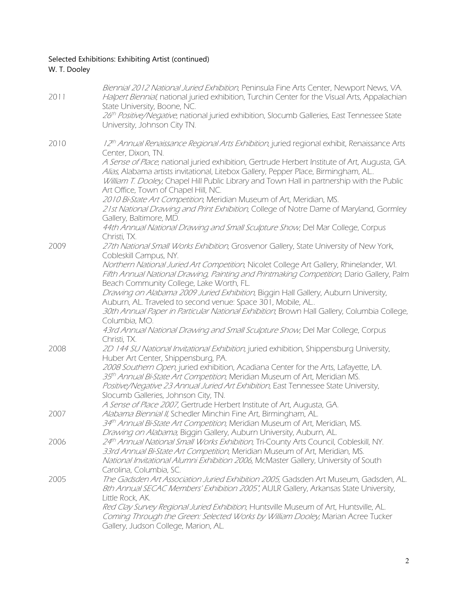## Selected Exhibitions: Exhibiting Artist (continued) W. T. Dooley

| 2011 | Biennial 2012 National Juried Exhibition, Peninsula Fine Arts Center, Newport News, VA.<br>Halpert Biennial, national juried exhibition, Turchin Center for the Visual Arts, Appalachian<br>State University, Boone, NC.<br>26th Positive/Negative, national juried exhibition, Slocumb Galleries, East Tennessee State   |
|------|---------------------------------------------------------------------------------------------------------------------------------------------------------------------------------------------------------------------------------------------------------------------------------------------------------------------------|
|      | University, Johnson City TN.                                                                                                                                                                                                                                                                                              |
| 2010 | 12th Annual Renaissance Regional Arts Exhibition, juried regional exhibit, Renaissance Arts<br>Center, Dixon, TN.                                                                                                                                                                                                         |
|      | A Sense of Place, national juried exhibition, Gertrude Herbert Institute of Art, Augusta, GA.<br>Alias, Alabama artists invitational, Litebox Gallery, Pepper Place, Birmingham, AL<br>William T. Dooley, Chapel Hill Public Library and Town Hall in partnership with the Public<br>Art Office, Town of Chapel Hill, NC. |
|      | 2010 Bi-State Art Competition, Meridian Museum of Art, Meridian, MS.<br>21st National Drawing and Print Exhibition, College of Notre Dame of Maryland, Gormley<br>Gallery, Baltimore, MD.                                                                                                                                 |
|      | 44th Annual National Drawing and Small Sculpture Show, Del Mar College, Corpus<br>Christi, TX.                                                                                                                                                                                                                            |
| 2009 | 27th National Small Works Exhibition, Grosvenor Gallery, State University of New York,<br>Cobleskill Campus, NY.                                                                                                                                                                                                          |
|      | Northern National Juried Art Competition, Nicolet College Art Gallery, Rhinelander, WI.<br>Fifth Annual National Drawing, Painting and Printmaking Competition, Dario Gallery, Palm<br>Beach Community College, Lake Worth, FL.                                                                                           |
|      | Drawing on Alabama 2009 Juried Exhibition, Biggin Hall Gallery, Auburn University,<br>Auburn, AL. Traveled to second venue: Space 301, Mobile, AL                                                                                                                                                                         |
|      | 30th Annual Paper in Particular National Exhibition; Brown Hall Gallery, Columbia College,<br>Columbia, MO.                                                                                                                                                                                                               |
|      | 43rd Annual National Drawing and Small Sculpture Show, Del Mar College, Corpus<br>Christi, TX.                                                                                                                                                                                                                            |
| 2008 | 2D 144 SU National Invitational Exhibition, juried exhibition, Shippensburg University,<br>Huber Art Center, Shippensburg, PA.                                                                                                                                                                                            |
|      | 2008 Southern Open, juried exhibition, Acadiana Center for the Arts, Lafayette, LA.<br>35 <sup>th</sup> Annual Bi-State Art Competition, Meridian Museum of Art, Meridian MS.                                                                                                                                             |
|      | Positive/Negative 23 Annual Juried Art Exhibition, East Tennessee State University,<br>Slocumb Galleries, Johnson City, TN.                                                                                                                                                                                               |
| 2007 | A Sense of Place 2007, Gertrude Herbert Institute of Art, Augusta, GA.<br>Alabama Biennial II, Schedler Minchin Fine Art, Birmingham, AL.                                                                                                                                                                                 |
|      | 34th Annual Bi-State Art Competition, Meridian Museum of Art, Meridian, MS.<br>Drawing on Alabama, Biggin Gallery, Auburn University, Auburn, AL.                                                                                                                                                                         |
| 2006 | 24th Annual National Small Works Exhibition, Tri-County Arts Council, Cobleskill, NY.<br>33rd Annual Bi-State Art Competition, Meridian Museum of Art, Meridian, MS.<br>National Invitational Alumni Exhibition 2006, McMaster Gallery, University of South<br>Carolina, Columbia, SC.                                    |
| 2005 | The Gadsden Art Association Juried Exhibition 2005, Gadsden Art Museum, Gadsden, AL.<br>8th Annual SECAC Members' Exhibition 2005", AULR Gallery, Arkansas State University,<br>Little Rock, AK.                                                                                                                          |
|      | Red Clay Survey Regional Juried Exhibition, Huntsville Museum of Art, Huntsville, AL.<br>Coming Through the Green: Selected Works by William Dooley, Marian Acree Tucker<br>Gallery, Judson College, Marion, AL.                                                                                                          |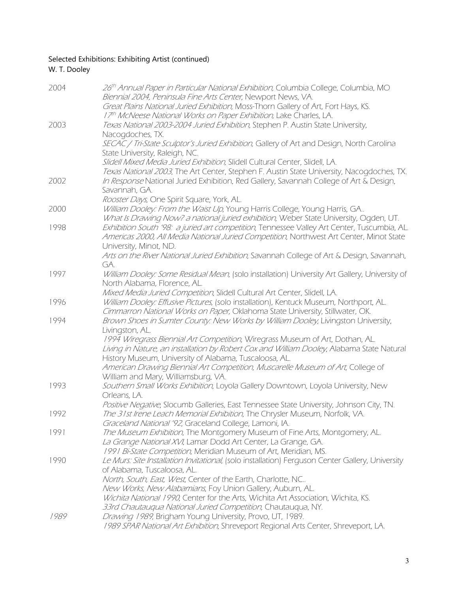### Selected Exhibitions: Exhibiting Artist (continued) W. T. Dooley

| 2004 | 26th Annual Paper in Particular National Exhibition, Columbia College, Columbia, MO<br>Biennial 2004, Peninsula Fine Arts Center, Newport News, VA.                                 |
|------|-------------------------------------------------------------------------------------------------------------------------------------------------------------------------------------|
|      | Great Plains National Juried Exhibition, Moss-Thorn Gallery of Art, Fort Hays, KS.<br>17th McNeese National Works on Paper Exhibition, Lake Charles, LA.                            |
| 2003 | Texas National 2003-2004 Juried Exhibition, Stephen P. Austin State University,                                                                                                     |
|      | Nacogdoches, TX.                                                                                                                                                                    |
|      | SECAC / Tri-State Sculptor's Juried Exhibition, Gallery of Art and Design, North Carolina<br>State University, Raleigh, NC.                                                         |
|      | Slidell Mixed Media Juried Exhibition, Slidell Cultural Center, Slidell, LA.                                                                                                        |
| 2002 | Texas National 2003, The Art Center, Stephen F. Austin State University, Nacogdoches, TX.<br>In Response National Juried Exhibition, Red Gallery, Savannah College of Art & Design, |
|      | Savannah, GA.                                                                                                                                                                       |
|      | Rooster Days, One Spirit Square, York, AL.                                                                                                                                          |
| 2000 | William Dooley: From the Waist Up, Young Harris College, Young Harris, GA<br>What Is Drawing Now? a national juried exhibition, Weber State University, Ogden, UT.                  |
| 1998 | Exhibition South '98: a juried art competition, Tennessee Valley Art Center, Tuscumbia, AL.                                                                                         |
|      | Americas 2000, All Media National Juried Competition, Northwest Art Center, Minot State                                                                                             |
|      | University, Minot, ND.<br>Arts on the River National Juried Exhibition, Savannah College of Art & Design, Savannah,                                                                 |
|      | GA.                                                                                                                                                                                 |
| 1997 | William Dooley: Some Residual Mean, (solo installation) University Art Gallery, University of                                                                                       |
|      | North Alabama, Florence, AL.<br>Mixed Media Juried Competition, Slidell Cultural Art Center, Slidell, LA.                                                                           |
| 1996 | William Dooley: Effusive Pictures, (solo installation), Kentuck Museum, Northport, AL.                                                                                              |
|      | Cimmarron National Works on Paper, Oklahoma State University, Stillwater, OK.                                                                                                       |
| 1994 | Brown Shoes in Sumter County: New Works by William Dooley, Livingston University,<br>Livingston, AL.                                                                                |
|      | 1994 Wiregrass Biennial Art Competition, Wiregrass Museum of Art, Dothan, AL.                                                                                                       |
|      | Living in Nature, an installation by Robert Cox and William Dooley, Alabama State Natural                                                                                           |
|      | History Museum, University of Alabama, Tuscaloosa, AL.<br>American Drawing Biennial Art Competition, Muscarelle Museum of Art, College of                                           |
|      | William and Mary, Williamsburg, VA.                                                                                                                                                 |
| 1993 | Southern Small Works Exhibition, Loyola Gallery Downtown, Loyola University, New                                                                                                    |
|      | Orleans, LA.<br>Positive Negative, Slocumb Galleries, East Tennessee State University, Johnson City, TN.                                                                            |
| 1992 | The 31st Irene Leach Memorial Exhibition, The Chrysler Museum, Norfolk, VA                                                                                                          |
|      | Graceland National '92, Graceland College, Lamoni, IA.                                                                                                                              |
| 1991 | The Museum Exhibition, The Montgomery Museum of Fine Arts, Montgomery, AL.                                                                                                          |
|      | La Grange National XVI, Lamar Dodd Art Center, La Grange, GA.<br>1991 Bi-State Competition, Meridian Museum of Art, Meridian, MS.                                                   |
| 1990 | Le Murs: Site Installation Invitational, (solo installation) Ferguson Center Gallery, University                                                                                    |
|      | of Alabama, Tuscaloosa, AL.                                                                                                                                                         |
|      | North, South, East, West, Center of the Earth, Charlotte, NC<br>New Works, New Alabamians, Foy Union Gallery, Auburn, AL.                                                           |
|      | Wichita National 1990, Center for the Arts, Wichita Art Association, Wichita, KS.                                                                                                   |
|      | 33rd Chautaugua National Juried Competition, Chautaugua, NY.                                                                                                                        |
| 1989 | Drawing 1989, Brigham Young University, Provo, UT, 1989.<br>1989 SPAR National Art Exhibition, Shreveport Regional Arts Center, Shreveport, LA.                                     |
|      |                                                                                                                                                                                     |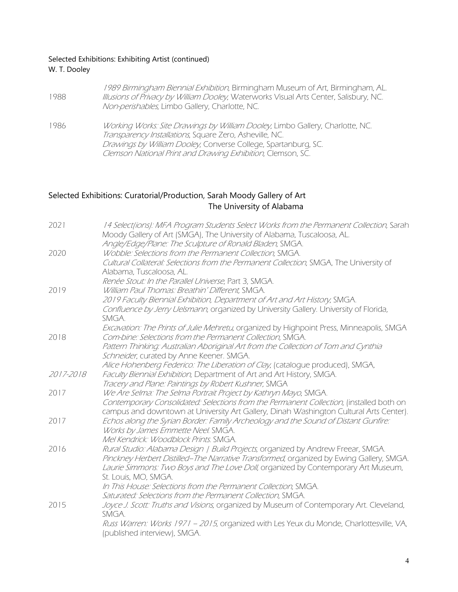#### Selected Exhibitions: Exhibiting Artist (continued) W. T. Dooley

| 1988 | 1989 Birmingham Biennial Exhibition, Birmingham Museum of Art, Birmingham, AL.<br>Illusions of Privacy by William Dooley, Waterworks Visual Arts Center, Salisbury, NC.<br>Non-perishables, Limbo Gallery, Charlotte, NC.                                                 |
|------|---------------------------------------------------------------------------------------------------------------------------------------------------------------------------------------------------------------------------------------------------------------------------|
| 1986 | Working Works: Site Drawings by William Dooley, Limbo Gallery, Charlotte, NC.<br>Transparency Installations, Square Zero, Asheville, NC.<br>Drawings by William Dooley, Converse College, Spartanburg, SC.<br>Clemson National Print and Drawing Exhibition, Clemson, SC. |

## Selected Exhibitions: Curatorial/Production, Sarah Moody Gallery of Art The University of Alabama

| 2021      | 14 Select ions): MFA Program Students Select Works from the Permanent Collection, Sarah                                                               |
|-----------|-------------------------------------------------------------------------------------------------------------------------------------------------------|
|           | Moody Gallery of Art (SMGA), The University of Alabama, Tuscaloosa, AL.                                                                               |
|           | Angle/Edge/Plane: The Sculpture of Ronald Bladen, SMGA.                                                                                               |
| 2020      | Wobble: Selections from the Permanent Collection, SMGA.                                                                                               |
|           | Cultural Collateral: Selections from the Permanent Collection, SMGA, The University of                                                                |
|           | Alabama, Tuscaloosa, AL.                                                                                                                              |
|           | Renée Stout: In the Parallel Universe, Part 3, SMGA.                                                                                                  |
| 2019      | William Paul Thomas: Breathin' Different, SMGA.                                                                                                       |
|           | 2019 Faculty Biennial Exhibition, Department of Art and Art History, SMGA.                                                                            |
|           | Confluence by Jerry Uelsmann, organized by University Gallery. University of Florida,<br>SMGA.                                                        |
| 2018      | Excavation: The Prints of Julie Mehretu, organized by Highpoint Press, Minneapolis, SMGA<br>Com-bine: Selections from the Permanent Collection, SMGA. |
|           | Pattern Thinking: Australian Aboriginal Art from the Collection of Tom and Cynthia                                                                    |
|           | Schneider, curated by Anne Keener. SMGA.                                                                                                              |
|           | Alice Hohenberg Federico: The Liberation of Clay, (catalogue produced), SMGA,                                                                         |
| 2017-2018 | Faculty Biennial Exhibition, Department of Art and Art History, SMGA.                                                                                 |
|           | Tracery and Plane: Paintings by Robert Kushner, SMGA                                                                                                  |
| 2017      | We Are Selma: The Selma Portrait Project by Kathryn Mayo, SMGA.                                                                                       |
|           | Contemporary Consolidated: Selections from the Permanent Collection, (installed both on                                                               |
|           | campus and downtown at University Art Gallery, Dinah Washington Cultural Arts Center).                                                                |
| 2017      | Echos along the Syrian Border: Family Archeology and the Sound of Distant Gunfire:                                                                    |
|           | Works by James Emmette Neel. SMGA.                                                                                                                    |
|           | Mel Kendrick: Woodblock Prints. SMGA.                                                                                                                 |
| 2016      | Rural Studio: Alabama Design   Build Projects, organized by Andrew Freear, SMGA.                                                                      |
|           | Pinckney Herbert Distilled-The Narrative Transformed, organized by Ewing Gallery, SMGA.                                                               |
|           | Laurie Simmons: Two Boys and The Love Doll, organized by Contemporary Art Museum,                                                                     |
|           | St. Louis, MO, SMGA.                                                                                                                                  |
|           | In This House: Selections from the Permanent Collection, SMGA.                                                                                        |
|           | Saturated: Selections from the Permanent Collection, SMGA.                                                                                            |
| 2015      | Joyce J. Scott: Truths and Visions, organized by Museum of Contemporary Art. Cleveland,                                                               |
|           | SMGA.                                                                                                                                                 |
|           | Russ Warren: Works 1971 - 2015, organized with Les Yeux du Monde, Charlottesville, VA,                                                                |
|           | (published interview), SMGA.                                                                                                                          |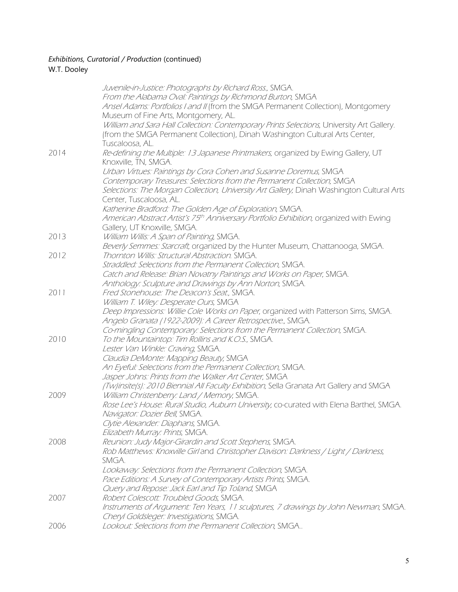## *Exhibitions, Curatorial / Production* (continued)

## W.T. Dooley

|      | Juvenile-in-Justice: Photographs by Richard Ross., SMGA.                                           |
|------|----------------------------------------------------------------------------------------------------|
|      | From the Alabama Oval: Paintings by Richmond Burton, SMGA                                          |
|      | Ansel Adams: Portfolios I and II (from the SMGA Permanent Collection), Montgomery                  |
|      | Museum of Fine Arts, Montgomery, AL.                                                               |
|      | William and Sara Hall Collection: Contemporary Prints Selections, University Art Gallery.          |
|      | (from the SMGA Permanent Collection), Dinah Washington Cultural Arts Center,                       |
|      | Tuscaloosa, AL.                                                                                    |
|      |                                                                                                    |
| 2014 | Re-defining the Multiple: 13 Japanese Printmakers, organized by Ewing Gallery, UT                  |
|      | Knoxville, TN, SMGA.                                                                               |
|      | Urban Virtues: Paintings by Cora Cohen and Susanne Doremus, SMGA                                   |
|      | Contemporary Treasures: Selections from the Permanent Collection, SMGA                             |
|      | Selections: The Morgan Collection, University Art Gallery, Dinah Washington Cultural Arts          |
|      | Center, Tuscaloosa, AL.                                                                            |
|      | Katherine Bradford: The Golden Age of Exploration, SMGA.                                           |
|      | American Abstract Artist's 75 <sup>th</sup> Anniversary Portfolio Exhibition, organized with Ewing |
|      | Gallery, UT Knoxville, SMGA.                                                                       |
| 2013 | William Willis: A Span of Painting, SMGA.                                                          |
|      | Beverly Semmes: Starcraft, organized by the Hunter Museum, Chattanooga, SMGA.                      |
| 2012 | Thornton Willis: Structural Abstraction. SMGA.                                                     |
|      | Straddled: Selections from the Permanent Collection, SMGA.                                         |
|      | Catch and Release: Brian Novatny Paintings and Works on Paper, SMGA.                               |
|      | Anthology: Sculpture and Drawings by Ann Norton, SMGA.                                             |
| 2011 | Fred Stonehouse: The Deacon's Seat., SMGA.                                                         |
|      | William T. Wiley: Desperate Ours, SMGA                                                             |
|      | Deep Impressions: Willie Cole Works on Paper, organized with Patterson Sims, SMGA.                 |
|      | Angelo Granata (1922-2009): A Career Retrospective., SMGA.                                         |
|      | Co-mingling Contemporary: Selections from the Permanent Collection, SMGA.                          |
| 2010 | To the Mountaintop: Tim Rollins and K.O.S., SMGA.                                                  |
|      | Lester Van Winkle: Craving, SMGA.                                                                  |
|      | Claudia DeMonte: Mapping Beauty, SMGA                                                              |
|      | An Eyeful: Selections from the Permanent Collection, SMGA.                                         |
|      | Jasper Johns: Prints from the Walker Art Center, SMGA                                              |
|      | (Tw)insite(s): 2010 Biennial All Faculty Exhibition, Sella Granata Art Gallery and SMGA            |
| 2009 | William Christenberry: Land / Memory, SMGA.                                                        |
|      | Rose Lee's House: Rural Studio, Auburn University, co-curated with Elena Barthel, SMGA.            |
|      | Navigator: Dozier Bell, SMGA.                                                                      |
|      | Clytie Alexander: Diaphans, SMGA.                                                                  |
|      | Elizabeth Murray: Prints, SMGA.                                                                    |
| 2008 | Reunion: Judy Major-Girardin and Scott Stephens, SMGA.                                             |
|      | Rob Matthews: Knoxville Girl and Christopher Davison: Darkness / Light / Darkness,                 |
|      | SMGA.                                                                                              |
|      |                                                                                                    |
|      | Lookaway: Selections from the Permanent Collection, SMGA.                                          |
|      | Pace Editions: A Survey of Contemporary Artists Prints, SMGA.                                      |
|      | Ouery and Repose: Jack Earl and Tip Toland, SMGA                                                   |
| 2007 | Robert Colescott: Troubled Goods, SMGA.                                                            |
|      | Instruments of Argument: Ten Years, 11 sculptures, 7 drawings by John Newman, SMGA.                |
|      | Cheryl Goldsleger: Investigations, SMGA.                                                           |
| 2006 | Lookout: Selections from the Permanent Collection, SMGA                                            |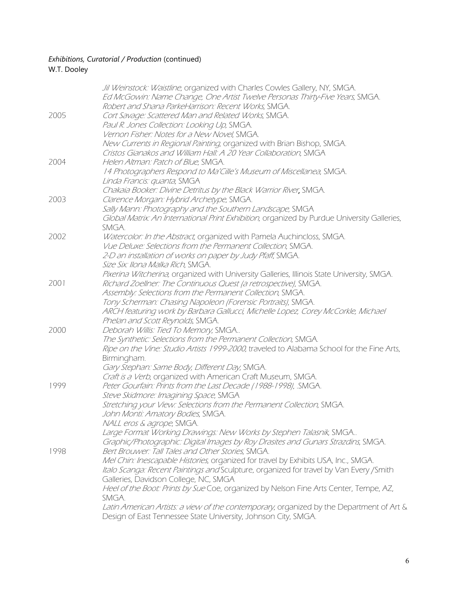## *Exhibitions, Curatorial / Production* (continued)

## W.T. Dooley

|      | Jil Weinstock: Waistline, organized with Charles Cowles Gallery, NY, SMGA.                  |
|------|---------------------------------------------------------------------------------------------|
|      | Ed McGowin: Name Change, One Artist Twelve Personas Thirty-Five Years, SMGA.                |
|      | Robert and Shana ParkeHarrison: Recent Works, SMGA.                                         |
| 2005 | Cort Savage: Scattered Man and Related Works, SMGA.                                         |
|      | Paul R. Jones Collection: Looking Up, SMGA.                                                 |
|      | Vernon Fisher: Notes for a New Novel, SMGA.                                                 |
|      | New Currents in Regional Painting, organized with Brian Bishop, SMGA.                       |
|      | Cristos Gianakos and William Hall: A 20 Year Collaboration, SMGA                            |
| 2004 | Helen Altman: Patch of Blue, SMGA.                                                          |
|      | 14 Photographers Respond to Ma'Cille's Museum of Miscellanea, SMGA.                         |
|      | Linda Francis: quanta, SMGA                                                                 |
|      | Chakaia Booker: Divine Detritus by the Black Warrior River, SMGA.                           |
| 2003 | Clarence Morgan: Hybrid Archetype, SMGA.                                                    |
|      |                                                                                             |
|      | Sally Mann: Photography and the Southern Landscape, SMGA                                    |
|      | Global Matrix: An International Print Exhibition, organized by Purdue University Galleries, |
|      | SMGA.                                                                                       |
| 2002 | Watercolor: In the Abstract, organized with Pamela Auchincloss, SMGA.                       |
|      | Vue Deluxe: Selections from the Permanent Collection, SMGA.                                 |
|      | 2-D an installation of works on paper by Judy Pfaff, SMGA.                                  |
|      | Size Six: Ilona Malka Rich, SMGA.                                                           |
|      | Pixerina Witcherina, organized with University Galleries, Illinois State University, SMGA.  |
| 2001 | Richard Zoellner: The Continuous Quest (a retrospective), SMGA.                             |
|      | Assembly: Selections from the Permanent Collection, SMGA.                                   |
|      | Tony Scherman: Chasing Napoleon (Forensic Portraits), SMGA.                                 |
|      | ARCH featuring work by Barbara Gallucci, Michelle Lopez, Corey McCorkle, Michael            |
|      | Phelan and Scott Reynolds, SMGA.                                                            |
| 2000 | Deborah Willis: Tied To Memory, SMGA                                                        |
|      | The Synthetic: Selections from the Permanent Collection, SMGA.                              |
|      | Ripe on the Vine: Studio Artists 1999-2000, traveled to Alabama School for the Fine Arts,   |
|      | Birmingham.                                                                                 |
|      | Gary Stephan: Same Body, Different Day, SMGA.                                               |
|      | Craft is a Verb, organized with American Craft Museum, SMGA.                                |
| 1999 | Peter Gourfain: Prints from the Last Decade (1988-1998), .SMGA.                             |
|      | Steve Skidmore: Imagining Space, SMGA                                                       |
|      | Stretching your View: Selections from the Permanent Collection, SMGA.                       |
|      | John Monti: Amatory Bodies, SMGA.                                                           |
|      | NALL eros & agrope, SMGA.                                                                   |
|      | Large Format Working Drawings: New Works by Stephen Talasnik, SMGA                          |
|      | Graphic/Photographic: Digital Images by Roy Drasites and Gunars Strazdins, SMGA.            |
| 1998 | Bert Brouwer: Tall Tales and Other Stories, SMGA.                                           |
|      | Mel Chin: Inescapable Histories, organized for travel by Exhibits USA, Inc., SMGA.          |
|      | Italo Scanga: Recent Paintings and Sculpture, organized for travel by Van Every / Smith     |
|      | Galleries, Davidson College, NC, SMGA                                                       |
|      | Heel of the Boot: Prints by Sue Coe, organized by Nelson Fine Arts Center, Tempe, AZ,       |
|      | SMGA.                                                                                       |
|      | Latin American Artists: a view of the contemporary, organized by the Department of Art &    |
|      | Design of East Tennessee State University, Johnson City, SMGA.                              |
|      |                                                                                             |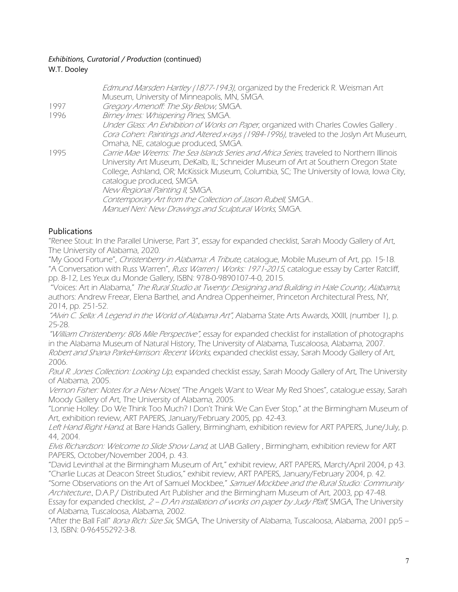#### *Exhibitions, Curatorial / Production* (continued) W.T. Dooley

|      | Edmund Marsden Hartley (1877-1943), organized by the Frederick R. Weisman Art<br>Museum, University of Minneapolis, MN, SMGA.                                                    |
|------|----------------------------------------------------------------------------------------------------------------------------------------------------------------------------------|
| 1997 | Gregory Amenoff: The Sky Below, SMGA.                                                                                                                                            |
| 1996 | Birney Imes: Whispering Pines, SMGA.                                                                                                                                             |
|      | Under Glass: An Exhibition of Works on Paper, organized with Charles Cowles Gallery.                                                                                             |
|      | Cora Cohen: Paintings and Altered x-rays (1984-1996), traveled to the Joslyn Art Museum,                                                                                         |
|      | Omaha, NE, catalogue produced, SMGA.                                                                                                                                             |
| 1995 | Carrie Mae Weems: The Sea Islands Series and Africa Series, traveled to Northern Illinois<br>University Art Museum, DeKalb, IL; Schneider Museum of Art at Southern Oregon State |
|      | College, Ashland, OR; McKissick Museum, Columbia, SC; The University of Iowa, Iowa City,                                                                                         |
|      | catalogue produced, SMGA.                                                                                                                                                        |
|      | New Regional Painting II, SMGA.                                                                                                                                                  |
|      | Contemporary Art from the Collection of Jason Rubell, SMGA                                                                                                                       |
|      | Manuel Neri: New Drawings and Sculptural Works, SMGA.                                                                                                                            |

### Publications

"Renee Stout: In the Parallel Universe, Part 3", essay for expanded checklist, Sarah Moody Gallery of Art, The University of Alabama, 2020.

"My Good Fortune", Christenberry in Alabama: A Tribute, catalogue, Mobile Museum of Art, pp. 15-18. "A Conversation with Russ Warren", Russ Warren | Works: 1971-2015, catalogue essay by Carter Ratcliff, pp. 8-12, Les Yeux du Monde Gallery, ISBN: 978-0-9890107-4-0, 2015.

"Voices: Art in Alabama," The Rural Studio at Twenty: Designing and Building in Hale County, Alabama, authors: Andrew Freear, Elena Barthel, and Andrea Oppenheimer, Princeton Architectural Press, NY, 2014, pp. 251-52.

"Alvin C. Sella: A Legend in the World of Alabama Art", Alabama State Arts Awards, XXIII, (number 1), p. 25-28.

"William Christenberry: 806 Mile Perspective", essay for expanded checklist for installation of photographs in the Alabama Museum of Natural History, The University of Alabama, Tuscaloosa, Alabama, 2007. Robert and Shana ParkeHarrison: Recent Works, expanded checklist essay, Sarah Moody Gallery of Art, 2006.

Paul R. Jones Collection: Looking Up, expanded checklist essay, Sarah Moody Gallery of Art, The University of Alabama, 2005.

Vernon Fisher: Notes for a New Novel, "The Angels Want to Wear My Red Shoes", catalogue essay, Sarah Moody Gallery of Art, The University of Alabama, 2005.

"Lonnie Holley: Do We Think Too Much? I Don't Think We Can Ever Stop," at the Birmingham Museum of Art, exhibition review, ART PAPERS, January/February 2005, pp. 42-43.

Left Hand Right Hand, at Bare Hands Gallery, Birmingham, exhibition review for ART PAPERS, June/July, p. 44, 2004.

Elvis Richardson: Welcome to Slide Show Land, at UAB Gallery , Birmingham, exhibition review for ART PAPERS, October/November 2004, p. 43.

"David Levinthal at the Birmingham Museum of Art," exhibit review, ART PAPERS, March/April 2004, p 43. "Charlie Lucas at Deacon Street Studios," exhibit review, ART PAPERS, January/February 2004, p. 42.

"Some Observations on the Art of Samuel Mockbee," Samuel Mockbee and the Rural Studio: Community Architecture., D.A.P./ Distributed Art Publisher and the Birmingham Museum of Art, 2003, pp 47-48. Essay for expanded checklist, 2 – D An installation of works on paper by Judy Pfaff, SMGA, The University of Alabama, Tuscaloosa, Alabama, 2002.

"After the Ball Fall" Ilona Rich: Size Six, SMGA, The University of Alabama, Tuscaloosa, Alabama, 2001 pp5 – 13, ISBN: 0-96455292-3-8.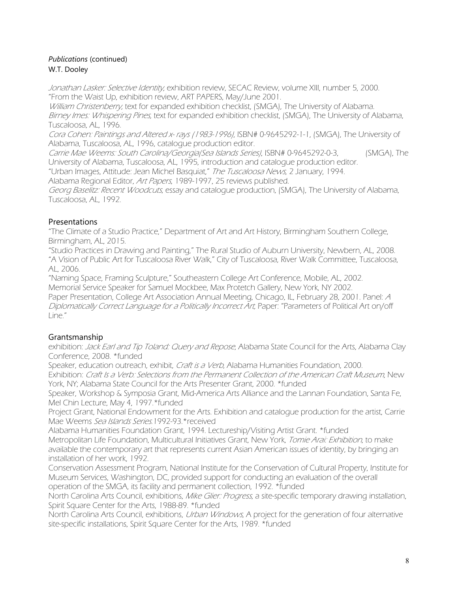#### *Publications* (continued) W.T. Dooley

Jonathan Lasker: Selective Identity, exhibition review, SECAC Review, volume XIII, number 5, 2000. "From the Waist Up, exhibition review, ART PAPERS, May/June 2001.

William Christenberry, text for expanded exhibition checklist, (SMGA), The University of Alabama. Birney Imes: Whispering Pines, text for expanded exhibition checklist, (SMGA), The University of Alabama, Tuscaloosa, AL, 1996.

Cora Cohen: Paintings and Altered x- rays (1983-1996), ISBN# 0-9645292-1-1, (SMGA), The University of Alabama, Tuscaloosa, AL, 1996, catalogue production editor.

Carrie Mae Weems: South Carolina/Georgia(Sea Islands Series), ISBN# 0-9645292-0-3, (SMGA), The University of Alabama, Tuscaloosa, AL, 1995, introduction and catalogue production editor.

"Urban Images, Attitude: Jean Michel Basquiat," The Tuscaloosa News, 2 January, 1994.

Alabama Regional Editor, Art Papers, 1989-1997, 25 reviews published.

Georg Baselitz: Recent Woodcuts, essay and catalogue production, (SMGA), The University of Alabama, Tuscaloosa, AL, 1992.

## Presentations

"The Climate of a Studio Practice," Department of Art and Art History, Birmingham Southern College, Birmingham, AL, 2015.

"Studio Practices in Drawing and Painting," The Rural Studio of Auburn University, Newbern, AL, 2008. "A Vision of Public Art for Tuscaloosa River Walk," City of Tuscaloosa, River Walk Committee, Tuscaloosa, AL, 2006.

"Naming Space, Framing Sculpture," Southeastern College Art Conference, Mobile, AL, 2002. Memorial Service Speaker for Samuel Mockbee, Max Protetch Gallery, New York, NY 2002. Paper Presentation, College Art Association Annual Meeting, Chicago, IL, February 28, 2001. Panel: <sup>A</sup>

Diplomatically Correct Language for a Politically Incorrect Art, Paper: "Parameters of Political Art on/off Line."

## Grantsmanship

exhibition: Jack Earl and Tip Toland: Query and Repose, Alabama State Council for the Arts, Alabama Clay Conference, 2008. \*funded

Speaker, education outreach, exhibit, Craft is a Verb, Alabama Humanities Foundation, 2000. Exhibition: Craft Is a Verb: Selections from the Permanent Collection of the American Craft Museum, New York, NY; Alabama State Council for the Arts Presenter Grant, 2000. \*funded

Speaker, Workshop & Symposia Grant, Mid-America Arts Alliance and the Lannan Foundation, Santa Fe, Mel Chin Lecture, May 4, 1997.\*funded

Project Grant, National Endowment for the Arts. Exhibition and catalogue production for the artist, Carrie Mae Weems Sea Islands Series.1992-93.\*received

Alabama Humanities Foundation Grant, 1994. Lectureship/Visiting Artist Grant. \*funded Metropolitan Life Foundation, Multicultural Initiatives Grant, New York, Tomie Arai: Exhibition, to make available the contemporary art that represents current Asian American issues of identity, by bringing an installation of her work, 1992.

Conservation Assessment Program, National Institute for the Conservation of Cultural Property, Institute for Museum Services, Washington, DC, provided support for conducting an evaluation of the overall operation of the SMGA, its facility and permanent collection, 1992. \*funded

North Carolina Arts Council, exhibitions, Mike Glier: Progress, a site-specific temporary drawing installation, Spirit Square Center for the Arts, 1988-89. \*funded

North Carolina Arts Council, exhibitions, Urban Windows, A project for the generation of four alternative site-specific installations, Spirit Square Center for the Arts, 1989. \*funded